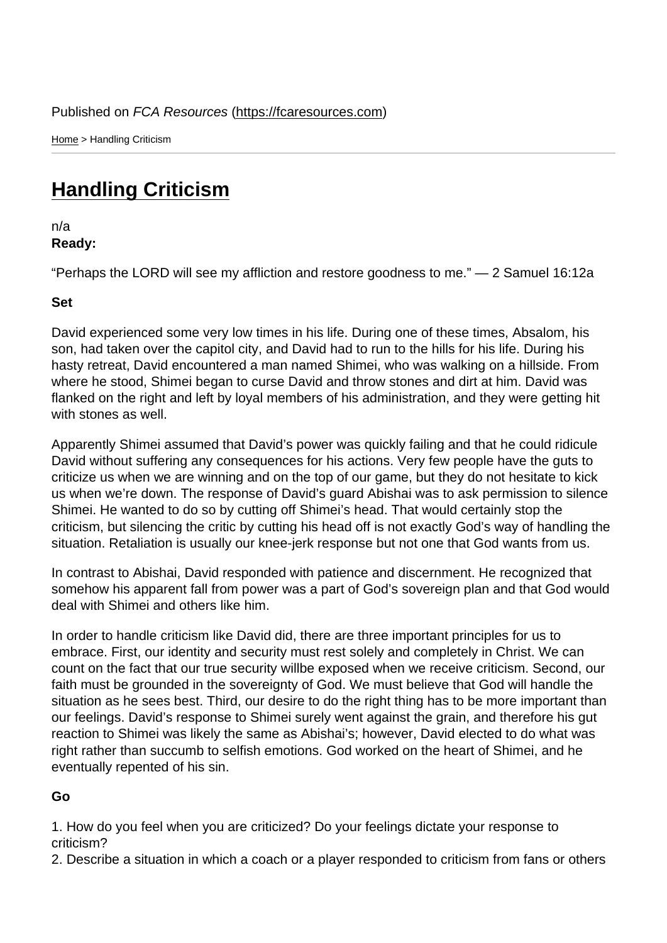Home > Handling Criticism

## [Han](https://fcaresources.com/)dling Criticism

n/a [Ready:](https://fcaresources.com/devotional/handling-criticism) 

"Perhaps the LORD will see my affliction and restore goodness to me." — 2 Samuel 16:12a

Set

David experienced some very low times in his life. During one of these times, Absalom, his son, had taken over the capitol city, and David had to run to the hills for his life. During his hasty retreat, David encountered a man named Shimei, who was walking on a hillside. From where he stood, Shimei began to curse David and throw stones and dirt at him. David was flanked on the right and left by loyal members of his administration, and they were getting hit with stones as well.

Apparently Shimei assumed that David's power was quickly failing and that he could ridicule David without suffering any consequences for his actions. Very few people have the guts to criticize us when we are winning and on the top of our game, but they do not hesitate to kick us when we're down. The response of David's guard Abishai was to ask permission to silence Shimei. He wanted to do so by cutting off Shimei's head. That would certainly stop the criticism, but silencing the critic by cutting his head off is not exactly God's way of handling the situation. Retaliation is usually our knee-jerk response but not one that God wants from us.

In contrast to Abishai, David responded with patience and discernment. He recognized that somehow his apparent fall from power was a part of God's sovereign plan and that God would deal with Shimei and others like him.

In order to handle criticism like David did, there are three important principles for us to embrace. First, our identity and security must rest solely and completely in Christ. We can count on the fact that our true security willbe exposed when we receive criticism. Second, our faith must be grounded in the sovereignty of God. We must believe that God will handle the situation as he sees best. Third, our desire to do the right thing has to be more important than our feelings. David's response to Shimei surely went against the grain, and therefore his gut reaction to Shimei was likely the same as Abishai's; however, David elected to do what was right rather than succumb to selfish emotions. God worked on the heart of Shimei, and he eventually repented of his sin.

Go

1. How do you feel when you are criticized? Do your feelings dictate your response to criticism?

2. Describe a situation in which a coach or a player responded to criticism from fans or others